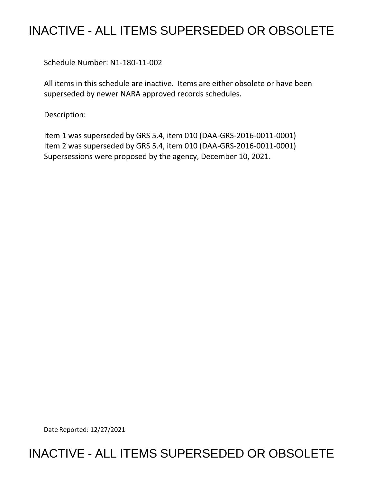## INACTIVE - ALL ITEMS SUPERSEDED OR OBSOLETE

Schedule Number: N1-180-11-002

 All items in this schedule are inactive. Items are either obsolete or have been superseded by newer NARA approved records schedules.

Description:

 Item 1 was superseded by GRS 5.4, item 010 (DAA-GRS-2016-0011-0001) Item 2 was superseded by GRS 5.4, item 010 (DAA-GRS-2016-0011-0001) Supersessions were proposed by the agency, December 10, 2021.

Date Reported: 12/27/2021

## INACTIVE - ALL ITEMS SUPERSEDED OR OBSOLETE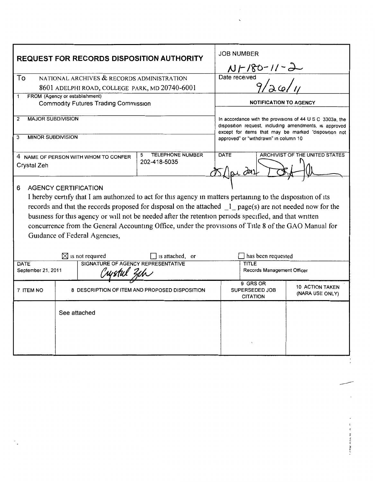| <b>REQUEST FOR RECORDS DISPOSITION AUTHORITY</b>                                                                                                                                                                                                                                                                                                                                                                                                                                                                                                                                               |                                                |                                              | <b>JOB NUMBER</b>                                                                                                                                                                                                   |                                           |
|------------------------------------------------------------------------------------------------------------------------------------------------------------------------------------------------------------------------------------------------------------------------------------------------------------------------------------------------------------------------------------------------------------------------------------------------------------------------------------------------------------------------------------------------------------------------------------------------|------------------------------------------------|----------------------------------------------|---------------------------------------------------------------------------------------------------------------------------------------------------------------------------------------------------------------------|-------------------------------------------|
|                                                                                                                                                                                                                                                                                                                                                                                                                                                                                                                                                                                                |                                                |                                              | $NF/80-11-$                                                                                                                                                                                                         |                                           |
| To<br>NATIONAL ARCHIVES & RECORDS ADMINISTRATION                                                                                                                                                                                                                                                                                                                                                                                                                                                                                                                                               |                                                |                                              | Date received                                                                                                                                                                                                       |                                           |
| 8601 ADELPHI ROAD, COLLEGE PARK, MD 20740-6001                                                                                                                                                                                                                                                                                                                                                                                                                                                                                                                                                 |                                                |                                              |                                                                                                                                                                                                                     |                                           |
| FROM (Agency or establishment)<br>1<br><b>Commodity Futures Trading Commission</b>                                                                                                                                                                                                                                                                                                                                                                                                                                                                                                             |                                                |                                              | <b>NOTIFICATION TO AGENCY</b>                                                                                                                                                                                       |                                           |
| <b>MAJOR SUBDIVISION</b><br>2                                                                                                                                                                                                                                                                                                                                                                                                                                                                                                                                                                  |                                                |                                              | In accordance with the provisions of 44 U S C 3303a, the<br>disposition request, including amendments, is approved<br>except for items that may be marked "disposition not<br>approved" or "withdrawn" in column 10 |                                           |
| <b>MINOR SUBDIVISION</b><br>3                                                                                                                                                                                                                                                                                                                                                                                                                                                                                                                                                                  |                                                |                                              |                                                                                                                                                                                                                     |                                           |
| 4 NAME OF PERSON WITH WHOM TO CONFER<br>Crystal Zeh                                                                                                                                                                                                                                                                                                                                                                                                                                                                                                                                            |                                                | <b>TELEPHONE NUMBER</b><br>5<br>202-418-5035 | <b>DATE</b>                                                                                                                                                                                                         | <b>ARCHIVIST OF THE UNITED STATES</b>     |
| <b>AGENCY CERTIFICATION</b><br>6<br>I hereby certify that I am authorized to act for this agency in matters pertaining to the disposition of its<br>records and that the records proposed for disposal on the attached 1 page(s) are not needed now for the<br>business for this agency or will not be needed after the retention periods specified, and that written<br>concurrence from the General Accounting Office, under the provisions of Title 8 of the GAO Manual for<br>Guidance of Federal Agencies,<br>$\Box$ is attached, or<br>has been requested<br>$\boxtimes$ is not required |                                                |                                              |                                                                                                                                                                                                                     |                                           |
| SIGNATURE OF AGENCY REPRESENTATIVE<br>DATE                                                                                                                                                                                                                                                                                                                                                                                                                                                                                                                                                     |                                                | <b>TITLE</b>                                 |                                                                                                                                                                                                                     |                                           |
| September 21, 2011                                                                                                                                                                                                                                                                                                                                                                                                                                                                                                                                                                             |                                                |                                              | Records Management Officer                                                                                                                                                                                          |                                           |
| 7 ITEM NO                                                                                                                                                                                                                                                                                                                                                                                                                                                                                                                                                                                      | 8 DESCRIPTION OF ITEM AND PROPOSED DISPOSITION |                                              | 9 GRS OR<br><b>SUPERSEDED JOB</b><br><b>CITATION</b>                                                                                                                                                                | <b>10 ACTION TAKEN</b><br>(NARA USE ONLY) |
|                                                                                                                                                                                                                                                                                                                                                                                                                                                                                                                                                                                                | See attached                                   |                                              |                                                                                                                                                                                                                     |                                           |

**Controller and the State Asset**